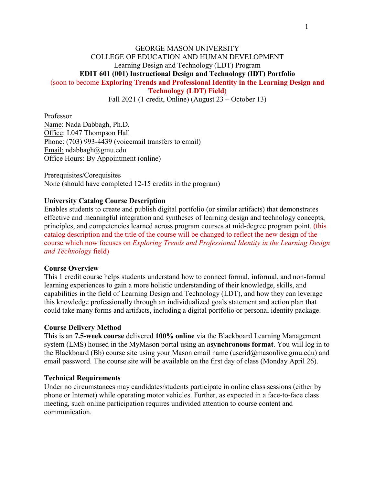### GEORGE MASON UNIVERSITY COLLEGE OF EDUCATION AND HUMAN DEVELOPMENT Learning Design and Technology (LDT) Program **EDIT 601 (001) Instructional Design and Technology (IDT) Portfolio** (soon to become **Exploring Trends and Professional Identity in the Learning Design and**

**Technology (LDT) Field**)

Fall 2021 (1 credit, Online) (August 23 – October 13)

Professor Name: Nada Dabbagh, Ph.D. Office: L047 Thompson Hall Phone: (703) 993-4439 (voicemail transfers to email) Email: ndabbagh@gmu.edu Office Hours: By Appointment (online)

Prerequisites/Corequisites None (should have completed 12-15 credits in the program)

#### **University Catalog Course Description**

Enables students to create and publish digital portfolio (or similar artifacts) that demonstrates effective and meaningful integration and syntheses of learning design and technology concepts, principles, and competencies learned across program courses at mid-degree program point. (this catalog description and the title of the course will be changed to reflect the new design of the course which now focuses on *Exploring Trends and Professional Identity in the Learning Design and Technology* field)

#### **Course Overview**

This 1 credit course helps students understand how to connect formal, informal, and non-formal learning experiences to gain a more holistic understanding of their knowledge, skills, and capabilities in the field of Learning Design and Technology (LDT), and how they can leverage this knowledge professionally through an individualized goals statement and action plan that could take many forms and artifacts, including a digital portfolio or personal identity package.

#### **Course Delivery Method**

This is an **7.5-week course** delivered **100% online** via the Blackboard Learning Management system (LMS) housed in the MyMason portal using an **asynchronous format**. You will log in to the Blackboard (Bb) course site using your Mason email name (userid@masonlive.gmu.edu) and email password. The course site will be available on the first day of class (Monday April 26).

#### **Technical Requirements**

Under no circumstances may candidates/students participate in online class sessions (either by phone or Internet) while operating motor vehicles. Further, as expected in a face-to-face class meeting, such online participation requires undivided attention to course content and communication.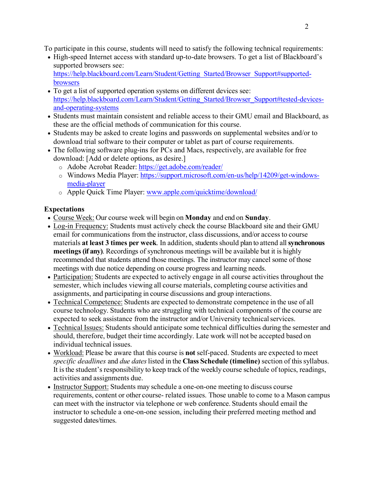To participate in this course, students will need to satisfy the following technical requirements:

- High-speed Internet access with standard up-to-date browsers. To get a list of Blackboard's supported browsers see[:](https://help.blackboard.com/Learn/Student/Getting_Started/Browser_Support#supported-browsers) [https://help.blackboard.com/Learn/Student/Getting\\_Started/Browser\\_Support#supported](https://help.blackboard.com/Learn/Student/Getting_Started/Browser_Support#supported-browsers)[browsers](https://help.blackboard.com/Learn/Student/Getting_Started/Browser_Support#supported-browsers)
- To get a list of supported operation systems on different devices see[:](https://help.blackboard.com/Learn/Student/Getting_Started/Browser_Support#tested-devices-and-operating-systems) [https://help.blackboard.com/Learn/Student/Getting\\_Started/Browser\\_Support#tested-devices](https://help.blackboard.com/Learn/Student/Getting_Started/Browser_Support#tested-devices-and-operating-systems)[and-operating-systems](https://help.blackboard.com/Learn/Student/Getting_Started/Browser_Support#tested-devices-and-operating-systems)
- Students must maintain consistent and reliable access to their GMU email and Blackboard, as these are the official methods of communication for this course.
- Students may be asked to create logins and passwords on supplemental websites and/or to download trial software to their computer or tablet as part of course requirements.
- The following software plug-ins for PCs and Macs, respectively, are available for free download: [Add or delete options, as desire.]
	- o Adobe Acrobat Reader:<https://get.adobe.com/reader/>
	- o Windows Media Player: [https://support.microsoft.com/en-us/help/14209/get-windows](https://support.microsoft.com/en-us/help/14209/get-windows-media-player)[media-player](https://support.microsoft.com/en-us/help/14209/get-windows-media-player)
	- o Apple Quick Time Player: [www.apple.com/quicktime/download/](http://www.apple.com/quicktime/download/)

# **Expectations**

- Course Week: Our course week will begin on **Monday** and end on **Sunday**.
- Log-in Frequency: Students must actively check the course Blackboard site and their GMU email for communications from the instructor, class discussions, and/or access to course materials **at least 3 times per week**. In addition, students should plan to attend all**synchronous meetings (if any)**. Recordings of synchronous meetings will be available but it is highly recommended that students attend those meetings. The instructor may cancel some of those meetings with due notice depending on course progress and learning needs.
- Participation: Students are expected to actively engage in all course activities throughout the semester, which includes viewing all course materials, completing course activities and assignments, and participating in course discussions and group interactions.
- Technical Competence: Students are expected to demonstrate competence in the use of all course technology. Students who are struggling with technical components of the course are expected to seek assistance from the instructor and/or University technical services.
- Technical Issues: Students should anticipate some technical difficulties during the semester and should, therefore, budget their time accordingly. Late work will not be accepted based on individual technical issues.
- Workload: Please be aware that this course is **not** self-paced. Students are expected to meet *specific deadlines and due dates listed in the Class Schedule (timeline) section of this syllabus.* It is the student's responsibility to keep track of the weekly course schedule of topics, readings, activities and assignments due.
- Instructor Support: Students may schedule a one-on-one meeting to discuss course requirements, content or other course- related issues. Those unable to come to a Mason campus can meet with the instructor via telephone or web conference. Students should email the instructor to schedule a one-on-one session, including their preferred meeting method and suggested dates/times.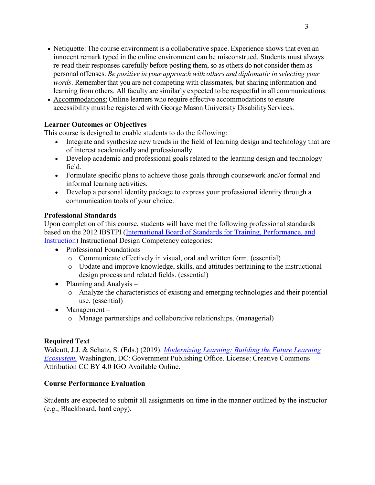- Netiquette: The course environment is a collaborative space. Experience shows that even an innocent remark typed in the online environment can be misconstrued. Students must always re-read their responses carefully before posting them, so as others do not consider them as personal offenses. *Be positive in your approach with others and diplomatic in selecting your words*. Remember that you are not competing with classmates, but sharing information and learning from others. All faculty are similarly expected to be respectful in all communications.
- Accommodations: Online learners who require effective accommodations to ensure accessibility must be registered with George Mason University Disability Services.

## **Learner Outcomes or Objectives**

This course is designed to enable students to do the following:

- Integrate and synthesize new trends in the field of learning design and technology that are of interest academically and professionally.
- Develop academic and professional goals related to the learning design and technology field.
- Formulate specific plans to achieve those goals through coursework and/or formal and informal learning activities.
- Develop a personal identity package to express your professional identity through a communication tools of your choice.

## **Professional Standards**

Upon completion of this course, students will have met the following professional standards based on the 2012 IBSTPI [\(International Board of Standards for Training, Performance, and](http://ibstpi.org/introducing-the-2012-instructional-design-competencies/)  [Instruction\)](http://ibstpi.org/introducing-the-2012-instructional-design-competencies/) Instructional Design Competency categories:

- Professional Foundations
	- o Communicate effectively in visual, oral and written form. (essential)
	- o Update and improve knowledge, skills, and attitudes pertaining to the instructional design process and related fields. (essential)
- Planning and Analysis
	- o Analyze the characteristics of existing and emerging technologies and their potential use. (essential)
- Management
	- o Manage partnerships and collaborative relationships. (managerial)

# **Required Text**

Walcutt, J.J. & Schatz, S. (Eds.) (2019). *[Modernizing Learning: Building the Future Learning](https://adlnet.gov/assets/uploads/Modernizing%20Learning.pdf)  [Ecosystem.](https://adlnet.gov/assets/uploads/Modernizing%20Learning.pdf)* Washington, DC: Government Publishing Office. License: Creative Commons Attribution CC BY 4.0 IGO Available Online.

## **Course Performance Evaluation**

Students are expected to submit all assignments on time in the manner outlined by the instructor (e.g., Blackboard, hard copy).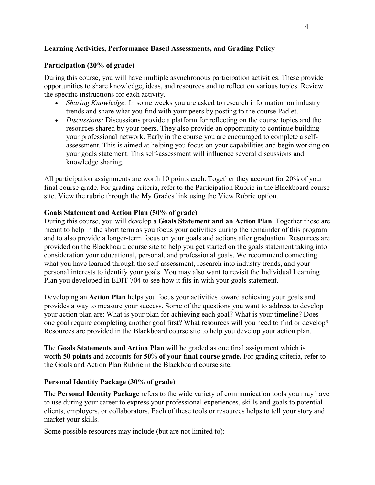### **Learning Activities, Performance Based Assessments, and Grading Policy**

### **Participation (20% of grade)**

During this course, you will have multiple asynchronous participation activities. These provide opportunities to share knowledge, ideas, and resources and to reflect on various topics. Review the specific instructions for each activity.

- *Sharing Knowledge:* In some weeks you are asked to research information on industry trends and share what you find with your peers by posting to the course Padlet.
- *Discussions:* Discussions provide a platform for reflecting on the course topics and the resources shared by your peers. They also provide an opportunity to continue building your professional network. Early in the course you are encouraged to complete a selfassessment. This is aimed at helping you focus on your capabilities and begin working on your goals statement. This self-assessment will influence several discussions and knowledge sharing.

All participation assignments are worth 10 points each. Together they account for 20% of your final course grade. For grading criteria, refer to the Participation Rubric in the Blackboard course site. View the rubric through the My Grades link using the View Rubric option.

### **Goals Statement and Action Plan (50% of grade)**

During this course, you will develop a **Goals Statement and an Action Plan**. Together these are meant to help in the short term as you focus your activities during the remainder of this program and to also provide a longer-term focus on your goals and actions after graduation. Resources are provided on the Blackboard course site to help you get started on the goals statement taking into consideration your educational, personal, and professional goals. We recommend connecting what you have learned through the self-assessment, research into industry trends, and your personal interests to identify your goals. You may also want to revisit the Individual Learning Plan you developed in EDIT 704 to see how it fits in with your goals statement.

Developing an **Action Plan** helps you focus your activities toward achieving your goals and provides a way to measure your success. Some of the questions you want to address to develop your action plan are: What is your plan for achieving each goal? What is your timeline? Does one goal require completing another goal first? What resources will you need to find or develop? Resources are provided in the Blackboard course site to help you develop your action plan.

The **Goals Statements and Action Plan** will be graded as one final assignment which is worth **50 points** and accounts for **50**% **of your final course grade.** For grading criteria, refer to the Goals and Action Plan Rubric in the Blackboard course site.

### **Personal Identity Package (30% of grade)**

The **Personal Identity Package** refers to the wide variety of communication tools you may have to use during your career to express your professional experiences, skills and goals to potential clients, employers, or collaborators. Each of these tools or resources helps to tell your story and market your skills.

Some possible resources may include (but are not limited to):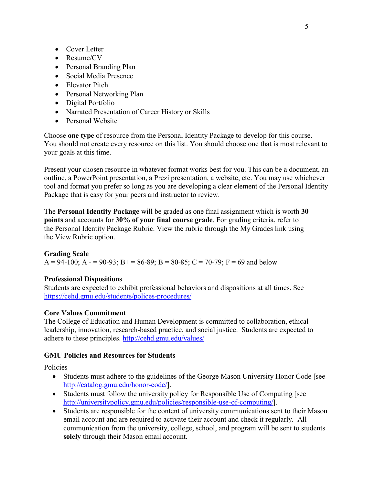- Cover Letter
- Resume/CV
- Personal Branding Plan
- Social Media Presence
- Elevator Pitch
- Personal Networking Plan
- Digital Portfolio
- Narrated Presentation of Career History or Skills
- Personal Website

Choose **one type** of resource from the Personal Identity Package to develop for this course. You should not create every resource on this list. You should choose one that is most relevant to your goals at this time.

Present your chosen resource in whatever format works best for you. This can be a document, an outline, a PowerPoint presentation, a Prezi presentation, a website, etc. You may use whichever tool and format you prefer so long as you are developing a clear element of the Personal Identity Package that is easy for your peers and instructor to review.

The **Personal Identity Package** will be graded as one final assignment which is worth **30 points** and accounts for **30% of your final course grade**. For grading criteria, refer to the Personal Identity Package Rubric. View the rubric through the My Grades link using the View Rubric option.

#### **Grading Scale**

 $A = 94-100$ ;  $A = 90-93$ ;  $B = 86-89$ ;  $B = 80-85$ ;  $C = 70-79$ ;  $F = 69$  and below

#### **Professional Dispositions**

Students are expected to exhibit professional behaviors and dispositions at all times. See <https://cehd.gmu.edu/students/polices-procedures/>

#### **Core Values Commitment**

The College of Education and Human Development is committed to collaboration, ethical leadership, innovation, research-based practice, and social justice. Students are expected to adhere to these principles.<http://cehd.gmu.edu/values/>

#### **GMU Policies and Resources for Students**

Policies

- Students must adhere to the guidelines of the George Mason University Honor Code [see] [http://catalog.gmu.edu/honor-code/\]](http://catalog.gmu.edu/honor-code/).
- Students must follow the university policy for Responsible Use of Computing [see [http://universitypolicy.gmu.edu/policies/responsible-use-of-computing/\]](http://universitypolicy.gmu.edu/policies/responsible-use-of-computing/).
- Students are responsible for the content of university communications sent to their Mason email account and are required to activate their account and check it regularly. All communication from the university, college, school, and program will be sent to students **solely** through their Mason email account.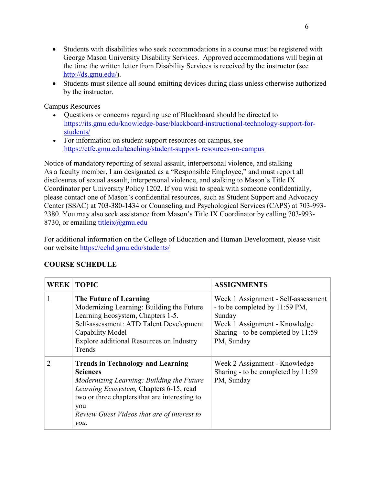- Students with disabilities who seek accommodations in a course must be registered with George Mason University Disability Services. Approved accommodations will begin at the time the written letter from Disability Services is received by the instructor (see [http://ds.gmu.edu/\)](http://ds.gmu.edu/).
- Students must silence all sound emitting devices during class unless otherwise authorized by the instructor.

Campus Resources

- Questions or concerns regarding use of Blackboard should be directed to [https://its.gmu.edu/knowledge-base/blackboard-instructional-technology-support-for](https://its.gmu.edu/knowledge-base/blackboard-instructional-technology-support-for-students/)[students/](https://its.gmu.edu/knowledge-base/blackboard-instructional-technology-support-for-students/)
- For information on student support resources on campus, see [https://ctfe.gmu.edu/teaching/student-support-](https://ctfe.gmu.edu/teaching/student-support-resources-on-campus) [resources-on-campus](https://ctfe.gmu.edu/teaching/student-support-resources-on-campus)

Notice of mandatory reporting of sexual assault, interpersonal violence, and stalking As a faculty member, I am designated as a "Responsible Employee," and must report all disclosures of sexual assault, interpersonal violence, and stalking to Mason's Title IX Coordinator per University Policy 1202. If you wish to speak with someone confidentially, please contact one of Mason's confidential resources, such as Student Support and Advocacy Center (SSAC) at 703-380-1434 or Counseling and Psychological Services (CAPS) at 703-993- 2380. You may also seek assistance from Mason's Title IX Coordinator by calling 703-993- 8730, or emailing titleix $(\partial g$ mu.edu

For additional information on the College of Education and Human Development, please visit our website<https://cehd.gmu.edu/students/>

|               | <b>WEEK   TOPIC</b>                                                                                                                                                                                                                                                                     | <b>ASSIGNMENTS</b>                                                                                                                                                   |
|---------------|-----------------------------------------------------------------------------------------------------------------------------------------------------------------------------------------------------------------------------------------------------------------------------------------|----------------------------------------------------------------------------------------------------------------------------------------------------------------------|
| 1             | The Future of Learning<br>Modernizing Learning: Building the Future<br>Learning Ecosystem, Chapters 1-5.<br>Self-assessment: ATD Talent Development<br>Capability Model<br>Explore additional Resources on Industry<br>Trends                                                           | Week 1 Assignment - Self-assessment<br>- to be completed by 11:59 PM,<br>Sunday<br>Week 1 Assignment - Knowledge<br>Sharing - to be completed by 11:59<br>PM, Sunday |
| $\mathcal{D}$ | <b>Trends in Technology and Learning</b><br><b>Sciences</b><br>Modernizing Learning: Building the Future<br>Learning Ecosystem, Chapters 6-15, read<br>two or three chapters that are interesting to<br>you<br>Review Guest Videos that are of interest to<br>$\mathcal{V}$ <i>ou</i> . | Week 2 Assignment - Knowledge<br>Sharing - to be completed by 11:59<br>PM, Sunday                                                                                    |

# **COURSE SCHEDULE**